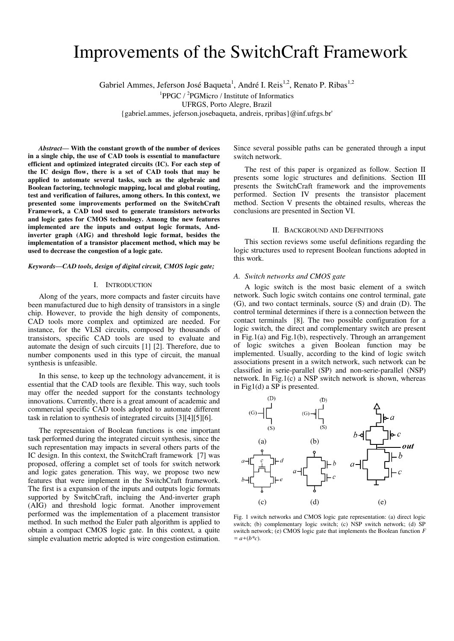# Improvements of the SwitchCraft Framework

Gabriel Ammes, Jeferson José Baqueta<sup>1</sup>, André I. Reis<sup>1,2</sup>, Renato P. Ribas<sup>1,2</sup>

 ${}^{1}$ PPGC /  ${}^{2}$ PGMicro / Institute of Informatics

UFRGS, Porto Alegre, Brazil

{gabriel.ammes, jeferson.josebaqueta, andreis, rpribas}@inf.ufrgs.br'

*Abstract***— With the constant growth of the number of devices in a single chip, the use of CAD tools is essential to manufacture efficient and optimized integrated circuits (IC). For each step of the IC design flow, there is a set of CAD tools that may be applied to automate several tasks, such as the algebraic and Boolean factoring, technologic mapping, local and global routing, test and verification of failures, among others. In this context, we presented some improvements performed on the SwitchCraft Framework, a CAD tool used to generate transistors networks and logic gates for CMOS technology. Among the new features implemented are the inputs and output logic formats, Andinverter graph (AIG) and threshold logic format, besides the implementation of a transistor placement method, which may be used to decrease the congestion of a logic gate.**

#### *Keywords—CAD tools, design of digital circuit, CMOS logic gate;*

#### I. INTRODUCTION

Along of the years, more compacts and faster circuits have been manufactured due to high density of transistors in a single chip. However, to provide the high density of components, CAD tools more complex and optimized are needed. For instance, for the VLSI circuits, composed by thousands of transistors, specific CAD tools are used to evaluate and automate the design of such circuits [1] [2]. Therefore, due to number components used in this type of circuit, the manual synthesis is unfeasible.

In this sense, to keep up the technology advancement, it is essential that the CAD tools are flexible. This way, such tools may offer the needed support for the constants technology innovations. Currently, there is a great amount of academic and commercial specific CAD tools adopted to automate different task in relation to synthesis of integrated circuits [3][4][5][6].

The representaion of Boolean functions is one important task performed during the integrated circuit synthesis, since the such representation may impacts in several others parts of the IC design. In this context, the SwitchCraft framework [7] was proposed, offering a complet set of tools for switch network and logic gates generation. This way, we propose two new features that were implement in the SwitchCraft framework. The first is a expansion of the inputs and outputs logic formats supported by SwitchCraft, incluing the And-inverter graph (AIG) and threshold logic format. Another improvement performed was the implementation of a placement transistor method. In such method the Euler path algorithm is applied to obtain a compact CMOS logic gate. In this context, a quite simple evaluation metric adopted is wire congestion estimation.

Since several possible paths can be generated through a input switch network.

The rest of this paper is organized as follow. Section II presents some logic structures and definitions. Section III presents the SwitchCraft framework and the improvements performed. Section IV presents the transistor placement method. Section V presents the obtained results, whereas the conclusions are presented in Section VI.

#### II. BACKGROUND AND DEFINITIONS

This section reviews some useful definitions regarding the logic structures used to represent Boolean functions adopted in this work.

# *A. Switch networks and CMOS gate*

A logic switch is the most basic element of a switch network. Such logic switch contains one control terminal, gate (G), and two contact terminals, source (S) and drain (D). The control terminal determines if there is a connection between the contact terminals [8]. The two possible configuration for a logic switch, the direct and complementary switch are present in Fig.1(a) and Fig.1(b), respectively. Through an arrangement of logic switches a given Boolean function may be implemented. Usually, according to the kind of logic switch associations present in a switch network, such network can be classified in serie-parallel (SP) and non-serie-parallel (NSP) network. In Fig.1(c) a NSP switch network is shown, whereas in Fig1(d) a SP is presented.



Fig. 1 switch networks and CMOS logic gate representation: (a) direct logic switch; (b) complementary logic switch; (c) NSP switch network; (d) SP switch network; (e) CMOS logic gate that implements the Boolean function *F*   $= a+(b*c)$ .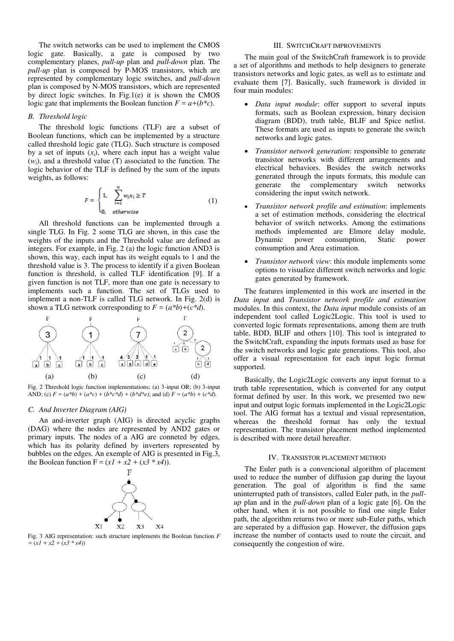The switch networks can be used to implement the CMOS logic gate. Basically, a gate is composed by two complementary planes, *pull-up* plan and *pull-down* plan. The *pull-up* plan is composed by P-MOS transistors, which are represented by complementary logic switches, and *pull-down* plan is composed by N-MOS transistors, which are represented by direct logic switches. In Fig.1(e) it is shown the CMOS logic gate that implements the Boolean function  $F = a+(b*c)$ .

### *B. Threshold logic*

The threshold logic functions (TLF) are a subset of Boolean functions, which can be implemented by a structure called threshold logic gate (TLG). Such structure is composed by a set of inputs  $(x_i)$ , where each input has a weight value  $(w_i)$ , and a threshold value (T) associated to the function. The logic behavior of the TLF is defined by the sum of the inputs weights, as follows:

$$
F = \begin{cases} 1, & \sum_{i=1}^{n} w_i x_i \ge T \\ 0, & otherwise \end{cases}
$$
 (1)

All threshold functions can be implemented through a single TLG. In Fig. 2 some TLG are shown, in this case the weights of the inputs and the Threshold value are defined as integers. For example, in Fig. 2 (a) the logic function AND3 is shown, this way, each input has its weight equals to 1 and the threshold value is 3. The process to identify if a given Boolean function is threshold, is called TLF identification [9]. If a given function is not TLF, more than one gate is necessary to implements such a function. The set of TLGs used to implement a non-TLF is called TLG network. In Fig. 2(d) is shown a TLG network corresponding to  $F = (a^*b) + (c^*d)$ .



Fig. 2 Threshold logic function implementations; (a) 3-input OR; (b) 3-input AND; (c)  $F = (a^*b) + (a^*c) + (b^*c^*d) + (b^*d^*e)$ ; and (d)  $F = (a^*b) + (c^*d)$ .

#### *C. And Inverter Diagram (AIG)*

An and-inverter graph (AIG) is directed acyclic graphs (DAG) where the nodes are represented by AND2 gates or primary inputs. The nodes of a AIG are conneted by edges, which has its polarity defined by inverters represented by bubbles on the edges. An exemple of AIG is presented in Fig.3, the Boolean function  $F = (xI + x2 + (x3 * x4))$ .



Fig. 3 AIG representation: such structure implements the Boolean function *F*   $= (x1 + x2 + (x3 * x4))$ 

# III. SWITCHCRAFT IMPROVEMENTS

The main goal of the SwitchCraft framework is to provide a set of algorithms and methods to help designers to generate transistors networks and logic gates, as well as to estimate and evaluate them [7]. Basically, such framework is divided in four main modules:

- *Data input module*: offer support to several inputs formats, such as Boolean expression, binary decision diagram (BDD), truth table, BLIF and Spice netlist. These formats are used as inputs to generate the switch networks and logic gates.
- *Transistor network generation*: responsible to generate transistor networks with different arrangements and electrical behaviors. Besides the switch networks generated through the inputs formats, this module can generate the complementary switch networks considering the input switch network.
- *Transistor network profile and estimation*: implements a set of estimation methods, considering the electrical behavior of switch networks. Among the estimations methods implemented are Elmore delay module,<br>Dynamic power consumption, Static power consumption, consumption and Area estimation.
- *Transistor network view*: this module implements some options to visualize different switch networks and logic gates generated by framework.

The features implemented in this work are inserted in the *Data input* and *Transistor network profile and estimation* modules. In this context, the *Data input* module consists of an independent tool called Logic2Logic. This tool is used to converted logic formats representations, among them are truth table, BDD, BLIF and others [10]. This tool is integrated to the SwitchCraft, expanding the inputs formats used as base for the switch networks and logic gate generations. This tool, also offer a visual representation for each input logic format supported.

 Basically, the Logic2Logic converts any input format to a truth table representation, which is converted for any output format defined by user. In this work, we presented two new input and output logic formats implemented in the Logic2Logic tool. The AIG format has a textual and visual representation, whereas the threshold format has only the textual representation. The transistor placement method implemented is described with more detail hereafter.

#### IV. TRANSISTOR PLACEMENT METHOD

The Euler path is a convencional algorithm of placement used to reduce the number of diffusion gap during the layout generation. The goal of algorithm is find the same uninterrupted path of transistors, called Euler path, in the *pullup* plan and in the *pull-down* plan of a logic gate [6]. On the other hand, when it is not possible to find one single Euler path, the algorithm returns two or more sub-Euler paths, which are seperated by a diffusion gap. However, the diffusion gaps increase the number of contacts used to route the circuit, and consequently the congestion of wire.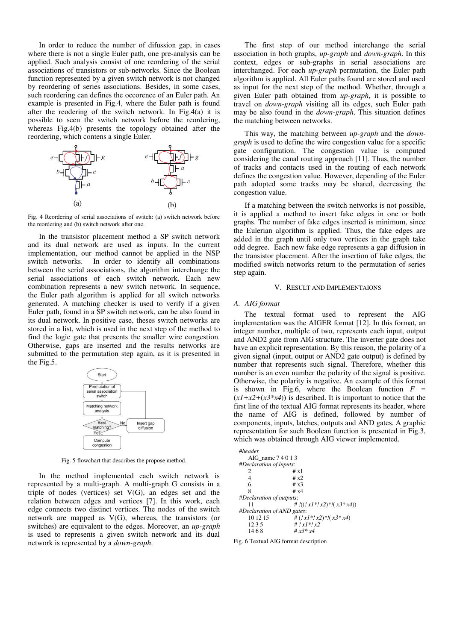In order to reduce the number of difussion gap, in cases where there is not a single Euler path, one pre-analysis can be applied. Such analysis consist of one reordering of the serial associations of transistors or sub-networks. Since the Boolean function represented by a given switch network is not changed by reordering of series associations. Besides, in some cases, such reordering can defines the occorence of an Euler path. An example is presented in Fig.4, where the Euler path is found after the reodering of the switch network. In Fig.4(a) it is possible to seen the switch network before the reordering, whereas Fig.4(b) presents the topology obtained after the reordering, which contens a single Euler.



Fig. 4 Reordering of serial associations of switch: (a) switch network before the reordering and (b) switch network after one.

In the transistor placement method a SP switch network and its dual network are used as inputs. In the current implementation, our method cannot be applied in the NSP switch networks. In order to identify all combinations between the serial associations, the algorithm interchange the serial associations of each switch network. Each new combination represents a new switch network. In sequence, the Euler path algorithm is applied for all switch networks generated. A matching checker is used to verify if a given Euler path, found in a SP switch network, can be also found in its dual network. In positive case, theses switch networks are stored in a list, which is used in the next step of the method to find the logic gate that presents the smaller wire congestion. Otherwise, gaps are inserted and the results networks are submitted to the permutation step again, as it is presented in the Fig.5.



Fig. 5 flowchart that describes the propose method.

In the method implemented each switch network is represented by a multi-graph. A multi-graph G consists in a triple of nodes (vertices) set V(G), an edges set and the relation between edges and vertices [7]. In this work, each edge connects two distinct vertices. The nodes of the switch network are mapped as V(G), whereas, the transistors (or switches) are equivalent to the edges. Moreover, an *up-graph* is used to represents a given switch network and its dual network is represented by a *down-graph*.

The first step of our method interchange the serial association in both graphs, *up-graph* and *down-graph*. In this context, edges or sub-graphs in serial associations are interchanged. For each *up-graph* permutation, the Euler path algorithm is applied. All Euler paths found are stored and used as input for the next step of the method. Whether, through a given Euler path obtained from *up-graph*, it is possible to travel on *down-graph* visiting all its edges, such Euler path may be also found in the *down-graph*. This situation defines the matching between networks.

This way, the matching between *up-graph* and the *downgraph* is used to define the wire congestion value for a specific gate configuration. The congestion value is computed considering the canal routing approach [11]. Thus, the number of tracks and contacts used in the routing of each network defines the congestion value. However, depending of the Euler path adopted some tracks may be shared, decreasing the congestion value.

If a matching between the switch networks is not possible, it is applied a method to insert fake edges in one or both graphs. The number of fake edges inserted is minimum, since the Eulerian algorithm is applied. Thus, the fake edges are added in the graph until only two vertices in the graph take odd degree. Each new fake edge represents a gap diffusion in the transistor placement. After the insertion of fake edges, the modified switch networks return to the permutation of series step again.

## V. RESULT AND IMPLEMENTAIONS

# *A. AIG format*

The textual format used to represent the AIG implementation was the AIGER format [12]. In this format, an integer number, multiple of two, represents each input, output and AND2 gate from AIG structure. The inverter gate does not have an explicit representation. By this reason, the polarity of a given signal (input, output or AND2 gate output) is defined by number that represents such signal. Therefore, whether this number is an even number the polarity of the signal is positive. Otherwise, the polarity is negative. An example of this format is shown in Fig.6, where the Boolean function  $F =$  $(xI+x2+(x3*x4))$  is described. It is important to notice that the first line of the textual AIG format represents its header, where the name of AIG is defined, followed by number of components, inputs, latches, outputs and AND gates. A graphic representation for such Boolean function is presented in Fig.3, which was obtained through AIG viewer implemented.

| #header                    |                                             |
|----------------------------|---------------------------------------------|
| AIG name 7 4 0 1 3         |                                             |
| #Declaration of inputs:    |                                             |
| 2                          | #x1                                         |
| 4                          | #x2                                         |
| 6                          | # $x3$                                      |
| 8                          | # $x4$                                      |
| #Declaration of outputs:   |                                             |
| 11                         | # $\frac{1}{2}$ ((! x1 *! x2) * !(x3 * x4)) |
| #Declaration of AND gates: |                                             |
| 10 12 15                   | # $(!x1^*!x2)^*/(x3^*x4)$                   |
| 1235                       | $# 1 x 1 * 1 x 2$                           |
| 1468                       | # $x3 * x4$                                 |

Fig. 6 Textual AIG format description